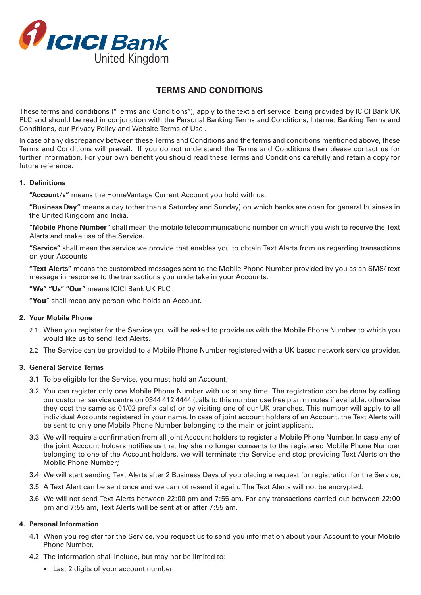

# **TERMS AND CONDITIONS**

These terms and conditions ("Terms and Conditions"), apply to the text alert service being provided by ICICI Bank UK PLC and should be read in conjunction with the Personal Banking Terms and Conditions, Internet Banking Terms and Conditions, our Privacy Policy and Website Terms of Use .

In case of any discrepancy between these Terms and Conditions and the terms and conditions mentioned above, these Terms and Conditions will prevail. If you do not understand the Terms and Conditions then please contact us for further information. For your own benefit you should read these Terms and Conditions carefully and retain a copy for future reference.

### **1. Definitions**

**"Account/s"** means the HomeVantage Current Account you hold with us.

**"Business Day"** means a day (other than a Saturday and Sunday) on which banks are open for general business in the United Kingdom and India.

**"Mobile Phone Number"** shall mean the mobile telecommunications number on which you wish to receive the Text Alerts and make use of the Service.

**"Service"** shall mean the service we provide that enables you to obtain Text Alerts from us regarding transactions on your Accounts.

**"Text Alerts"** means the customized messages sent to the Mobile Phone Number provided by you as an SMS/ text message in response to the transactions you undertake in your Accounts.

**"We" "Us" "Our"** means ICICI Bank UK PLC

"You" shall mean any person who holds an Account.

### **2. Your Mobile Phone**

- 2.1 When you register for the Service you will be asked to provide us with the Mobile Phone Number to which you would like us to send Text Alerts.
- 2.2 The Service can be provided to a Mobile Phone Number registered with a UK based network service provider.

### **3. General Service Terms**

- 3.1 To be eligible for the Service, you must hold an Account;
- 3.2 You can register only one Mobile Phone Number with us at any time. The registration can be done by calling our customer service centre on 0344 412 4444 (calls to this number use free plan minutes if available, otherwise they cost the same as 01/02 prefix calls) or by visiting one of our UK branches. This number will apply to all individual Accounts registered in your name. In case of joint account holders of an Account, the Text Alerts will be sent to only one Mobile Phone Number belonging to the main or joint applicant.
- 3.3 We will require a confirmation from all joint Account holders to register a Mobile Phone Number. In case any of the joint Account holders notifies us that he/ she no longer consents to the registered Mobile Phone Number belonging to one of the Account holders, we will terminate the Service and stop providing Text Alerts on the Mobile Phone Number;
- 3.4 We will start sending Text Alerts after 2 Business Days of you placing a request for registration for the Service;
- 3.5 A Text Alert can be sent once and we cannot resend it again. The Text Alerts will not be encrypted.
- 3.6 We will not send Text Alerts between 22:00 pm and 7:55 am. For any transactions carried out between 22:00 pm and 7:55 am, Text Alerts will be sent at or after 7:55 am.

### **4. Personal Information**

- 4.1 When you register for the Service, you request us to send you information about your Account to your Mobile Phone Number.
- 4.2 The information shall include, but may not be limited to:
	- **Last 2 digits of your account number**